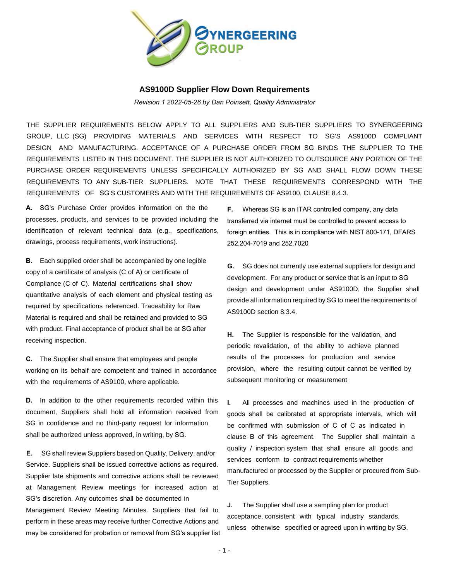

## **AS9100D Supplier Flow Down Requirements**

*Revision 1 2022-05-26 by Dan Poinsett, Quality Administrator*

THE SUPPLIER REQUIREMENTS BELOW APPLY TO ALL SUPPLIERS AND SUB-TIER SUPPLIERS TO SYNERGEERING GROUP, LLC (SG) PROVIDING MATERIALS AND SERVICES WITH RESPECT TO SG'S AS9100D COMPLIANT DESIGN AND MANUFACTURING. ACCEPTANCE OF A PURCHASE ORDER FROM SG BINDS THE SUPPLIER TO THE REQUIREMENTS LISTED IN THIS DOCUMENT. THE SUPPLIER IS NOT AUTHORIZED TO OUTSOURCE ANY PORTION OF THE PURCHASE ORDER REQUIREMENTS UNLESS SPECIFICALLY AUTHORIZED BY SG AND SHALL FLOW DOWN THESE REQUIREMENTS TO ANY SUB-TIER SUPPLIERS. NOTE THAT THESE REQUIREMENTS CORRESPOND WITH THE REQUIREMENTS OF SG'S CUSTOMERS AND WITH THE REQUIREMENTS OF AS9100, CLAUSE 8.4.3.

**A.** SG's Purchase Order provides information on the the processes, products, and services to be provided including the identification of relevant technical data (e.g., specifications, drawings, process requirements, work instructions).

**B.** Each supplied order shall be accompanied by one legible copy of a certificate of analysis (C of A) or certificate of Compliance (C of C). Material certifications shall show quantitative analysis of each element and physical testing as required by specifications referenced. Traceability for Raw Material is required and shall be retained and provided to SG with product. Final acceptance of product shall be at SG after receiving inspection.

**C.** The Supplier shall ensure that employees and people working on its behalf are competent and trained in accordance with the requirements of AS9100, where applicable.

**D.** In addition to the other requirements recorded within this document, Suppliers shall hold all information received from SG in confidence and no third-party request for information shall be authorized unless approved, in writing, by SG.

**E.** SG shall review Suppliers based on Quality, Delivery, and/or Service. Suppliers shall be issued corrective actions as required. Supplier late shipments and corrective actions shall be reviewed at Management Review meetings for increased action at SG's discretion. Any outcomes shall be documented in Management Review Meeting Minutes. Suppliers that fail to perform in these areas may receive further Corrective Actions and may be considered for probation or removal from SG's supplier list **F.** Whereas SG is an ITAR controlled company, any data transferred via internet must be controlled to prevent access to foreign entities. This is in compliance with NIST 800-171, DFARS 252.204-7019 and 252.7020

**G.** SG does not currently use external suppliers for design and development. For any product or service that is an input to SG design and development under AS9100D, the Supplier shall provide all information required by SG to meet the requirements of AS9100D section 8.3.4.

**H.** The Supplier is responsible for the validation, and periodic revalidation, of the ability to achieve planned results of the processes for production and service provision, where the resulting output cannot be verified by subsequent monitoring or measurement

**I.** All processes and machines used in the production of goods shall be calibrated at appropriate intervals, which will be confirmed with submission of C of C as indicated in clause B of this agreement. The Supplier shall maintain a quality / inspection system that shall ensure all goods and services conform to contract requirements whether manufactured or processed by the Supplier or procured from Sub-Tier Suppliers.

**J.** The Supplier shall use a sampling plan for product acceptance, consistent with typical industry standards, unless otherwise specified or agreed upon in writing by SG.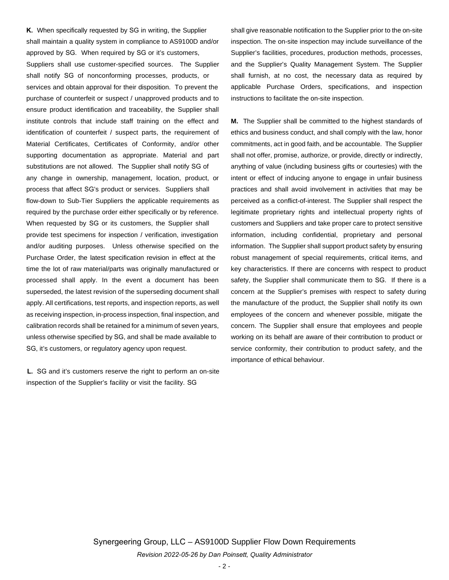**K.** When specifically requested by SG in writing, the Supplier shall maintain a quality system in compliance to AS9100D and/or approved by SG. When required by SG or it's customers, Suppliers shall use customer-specified sources. The Supplier shall notify SG of nonconforming processes, products, or services and obtain approval for their disposition. To prevent the purchase of counterfeit or suspect / unapproved products and to ensure product identification and traceability, the Supplier shall institute controls that include staff training on the effect and identification of counterfeit / suspect parts, the requirement of Material Certificates, Certificates of Conformity, and/or other supporting documentation as appropriate. Material and part substitutions are not allowed. The Supplier shall notify SG of any change in ownership, management, location, product, or process that affect SG's product or services. Suppliers shall flow-down to Sub-Tier Suppliers the applicable requirements as required by the purchase order either specifically or by reference. When requested by SG or its customers, the Supplier shall provide test specimens for inspection / verification, investigation and/or auditing purposes. Unless otherwise specified on the Purchase Order, the latest specification revision in effect at the time the lot of raw material/parts was originally manufactured or processed shall apply. In the event a document has been superseded, the latest revision of the superseding document shall apply. All certifications, test reports, and inspection reports, as well as receiving inspection, in-process inspection, final inspection, and calibration records shall be retained for a minimum of seven years, unless otherwise specified by SG, and shall be made available to SG, it's customers, or regulatory agency upon request.

**L.** SG and it's customers reserve the right to perform an on-site inspection of the Supplier's facility or visit the facility. SG

shall give reasonable notification to the Supplier prior to the on-site inspection. The on-site inspection may include surveillance of the Supplier's facilities, procedures, production methods, processes, and the Supplier's Quality Management System. The Supplier shall furnish, at no cost, the necessary data as required by applicable Purchase Orders, specifications, and inspection instructions to facilitate the on-site inspection.

**M.** The Supplier shall be committed to the highest standards of ethics and business conduct, and shall comply with the law, honor commitments, act in good faith, and be accountable. The Supplier shall not offer, promise, authorize, or provide, directly or indirectly, anything of value (including business gifts or courtesies) with the intent or effect of inducing anyone to engage in unfair business practices and shall avoid involvement in activities that may be perceived as a conflict-of-interest. The Supplier shall respect the legitimate proprietary rights and intellectual property rights of customers and Suppliers and take proper care to protect sensitive information, including confidential, proprietary and personal information. The Supplier shall support product safety by ensuring robust management of special requirements, critical items, and key characteristics. If there are concerns with respect to product safety, the Supplier shall communicate them to SG. If there is a concern at the Supplier's premises with respect to safety during the manufacture of the product, the Supplier shall notify its own employees of the concern and whenever possible, mitigate the concern. The Supplier shall ensure that employees and people working on its behalf are aware of their contribution to product or service conformity, their contribution to product safety, and the importance of ethical behaviour.

Synergeering Group, LLC – AS9100D Supplier Flow Down Requirements *Revision 2022-05-26 by Dan Poinsett, Quality Administrator*